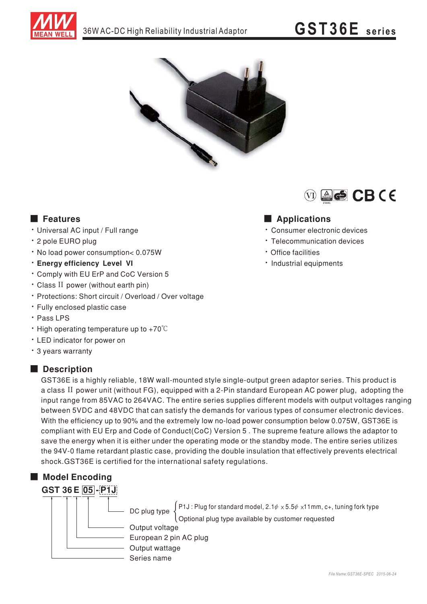



## **E** Features

- · Universal AC input / Full range
- \* 2 pole EURO plug
- · No load power consumption< 0.075W
- **· Enerav efficiency Level VI**
- \* Comply with EU ErP and CoC Version 5
- · Class II power (without earth pin)
- · Protections: Short circuit / Overload / Over voltage
- · Fully enclosed plastic case
- · Pass LPS
- $\cdot$  High operating temperature up to +70 $\degree$ C
- LED indicator for power on
- \* 3 years warranty

### Description

GST36E is a highly reliable, 18W wall-mounted style single-output green adaptor series. This product is a class II power unit (without FG), equipped with a 2-Pin standard European AC power plug, adopting the input range from 85VAC to 264VAC. The entire series supplies different models with output voltages ranging between 5VDC and 48VDC that can satisfy the demands for various types of consumer electronic devices. With the efficiency up to 90% and the extremely low no-load power consumption below 0.075W, GST36E is compliant with EU Erp and Code of Conduct(CoC) Version 5. The supreme feature allows the adaptor to save the energy when it is either under the operating mode or the standby mode. The entire series utilizes the 94V-0 flame retardant plastic case, providing the double insulation that effectively prevents electrical shock.GST36E is certified for the international safety regulations.

## Model Encoding



 $\int$  P1J : Plug for standard model, 2.1 $\psi \times 5.5\psi \times 11$  mm, c+, tuning fork type DC plug type Optional plug type available by customer requested Output voltage European 2 pin AC plug Output wattage



## Applications

- · Consumer electronic devices
- Telecommunication devices
- · Office facilities
- · Industrial equipments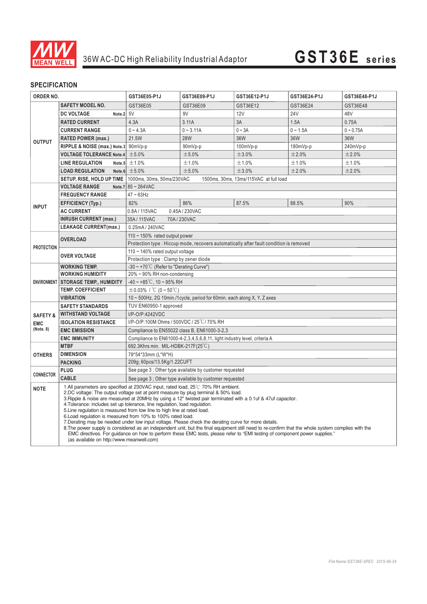

# 36W AC-DC High Reliability Industrial Adaptor **GST36E series**

## **SPECIFICATION**

| <b>ORDER NO.</b>        |                                                                                                                                                                                                                                                                                                                                                                                                                                                                                                                                                                                                                                                                                                                                                                                                                                                                                                                                                           | GST36E05-P1J                                                                          | GST36E09-P1J | GST36E12-P1J | GST36E24-P1J | GST36E48-P1J |
|-------------------------|-----------------------------------------------------------------------------------------------------------------------------------------------------------------------------------------------------------------------------------------------------------------------------------------------------------------------------------------------------------------------------------------------------------------------------------------------------------------------------------------------------------------------------------------------------------------------------------------------------------------------------------------------------------------------------------------------------------------------------------------------------------------------------------------------------------------------------------------------------------------------------------------------------------------------------------------------------------|---------------------------------------------------------------------------------------|--------------|--------------|--------------|--------------|
|                         | <b>SAFETY MODEL NO.</b>                                                                                                                                                                                                                                                                                                                                                                                                                                                                                                                                                                                                                                                                                                                                                                                                                                                                                                                                   | GST36E05                                                                              | GST36E09     | GST36E12     | GST36E24     | GST36E48     |
| <b>OUTPUT</b>           | Note.2 5V<br><b>DC VOLTAGE</b>                                                                                                                                                                                                                                                                                                                                                                                                                                                                                                                                                                                                                                                                                                                                                                                                                                                                                                                            |                                                                                       | 9V           | <b>12V</b>   | <b>24V</b>   | 48V          |
|                         | <b>RATED CURRENT</b>                                                                                                                                                                                                                                                                                                                                                                                                                                                                                                                                                                                                                                                                                                                                                                                                                                                                                                                                      | 4.3A                                                                                  | 3.11A        | 3A           | 1.5A         | 0.75A        |
|                         | <b>CURRENT RANGE</b>                                                                                                                                                                                                                                                                                                                                                                                                                                                                                                                                                                                                                                                                                                                                                                                                                                                                                                                                      | $0 - 4.3A$                                                                            | $0 - 3.11A$  | $0 \sim 3A$  | $0 - 1.5A$   | $0 - 0.75A$  |
|                         | <b>RATED POWER (max.)</b>                                                                                                                                                                                                                                                                                                                                                                                                                                                                                                                                                                                                                                                                                                                                                                                                                                                                                                                                 | 21.5W                                                                                 | <b>28W</b>   | 36W          | 36W          | 36W          |
|                         | RIPPLE & NOISE (max.) Note.3                                                                                                                                                                                                                                                                                                                                                                                                                                                                                                                                                                                                                                                                                                                                                                                                                                                                                                                              | 90mVp-p                                                                               | 90mVp-p      | 100mVp-p     | $180mVp-p$   | 240mVp-p     |
|                         | <b>VOLTAGE TOLERANCE Note.4</b>                                                                                                                                                                                                                                                                                                                                                                                                                                                                                                                                                                                                                                                                                                                                                                                                                                                                                                                           | ±5.0%                                                                                 | ±5.0%        | ±3.0%        | ±2.0%        | ±2.0%        |
|                         | <b>LINE REGULATION</b>                                                                                                                                                                                                                                                                                                                                                                                                                                                                                                                                                                                                                                                                                                                                                                                                                                                                                                                                    | Note.5 $\pm$ 1.0%                                                                     | ±1.0%        | ±1.0%        | ±1.0%        | ±1.0%        |
|                         | <b>LOAD REGULATION</b>                                                                                                                                                                                                                                                                                                                                                                                                                                                                                                                                                                                                                                                                                                                                                                                                                                                                                                                                    | Note.6 $\pm 5.0\%$                                                                    | ±5.0%        | ±3.0%        | ±2.0%        | ±2.0%        |
|                         | SETUP, RISE, HOLD UP TIME   1000ms, 30ms, 50ms/230VAC                                                                                                                                                                                                                                                                                                                                                                                                                                                                                                                                                                                                                                                                                                                                                                                                                                                                                                     | 1500ms, 30ms, 13ms/115VAC at full load                                                |              |              |              |              |
|                         | <b>VOLTAGE RANGE</b>                                                                                                                                                                                                                                                                                                                                                                                                                                                                                                                                                                                                                                                                                                                                                                                                                                                                                                                                      | Note.7 $85 \sim 264$ VAC                                                              |              |              |              |              |
| <b>INPUT</b>            | <b>FREQUENCY RANGE</b>                                                                                                                                                                                                                                                                                                                                                                                                                                                                                                                                                                                                                                                                                                                                                                                                                                                                                                                                    | $47 \sim 63$ Hz                                                                       |              |              |              |              |
|                         | <b>EFFICIENCY (Typ.)</b>                                                                                                                                                                                                                                                                                                                                                                                                                                                                                                                                                                                                                                                                                                                                                                                                                                                                                                                                  | 82%                                                                                   | 86%          | 87.5%        | 88.5%        | 90%          |
|                         | <b>AC CURRENT</b>                                                                                                                                                                                                                                                                                                                                                                                                                                                                                                                                                                                                                                                                                                                                                                                                                                                                                                                                         | 0.8A/115VAC<br>0.45A / 230VAC                                                         |              |              |              |              |
|                         | <b>INRUSH CURRENT (max.)</b>                                                                                                                                                                                                                                                                                                                                                                                                                                                                                                                                                                                                                                                                                                                                                                                                                                                                                                                              | 35A/115VAC<br>70A/230VAC                                                              |              |              |              |              |
|                         | <b>LEAKAGE CURRENT(max.)</b>                                                                                                                                                                                                                                                                                                                                                                                                                                                                                                                                                                                                                                                                                                                                                                                                                                                                                                                              | 0.25mA / 240VAC                                                                       |              |              |              |              |
| <b>PROTECTION</b>       | <b>OVERLOAD</b>                                                                                                                                                                                                                                                                                                                                                                                                                                                                                                                                                                                                                                                                                                                                                                                                                                                                                                                                           | 110 $\sim$ 150% rated output power                                                    |              |              |              |              |
|                         |                                                                                                                                                                                                                                                                                                                                                                                                                                                                                                                                                                                                                                                                                                                                                                                                                                                                                                                                                           | Protection type: Hiccup mode, recovers automatically after fault condition is removed |              |              |              |              |
|                         | <b>OVER VOLTAGE</b>                                                                                                                                                                                                                                                                                                                                                                                                                                                                                                                                                                                                                                                                                                                                                                                                                                                                                                                                       | 110 ~ 140% rated output voltage                                                       |              |              |              |              |
|                         |                                                                                                                                                                                                                                                                                                                                                                                                                                                                                                                                                                                                                                                                                                                                                                                                                                                                                                                                                           | Protection type: Clamp by zener diode                                                 |              |              |              |              |
| <b>ENVIRONMENT</b>      | <b>WORKING TEMP.</b>                                                                                                                                                                                                                                                                                                                                                                                                                                                                                                                                                                                                                                                                                                                                                                                                                                                                                                                                      | $-30 \sim +70^{\circ}$ C (Refer to "Derating Curve")                                  |              |              |              |              |
|                         | <b>WORKING HUMIDITY</b>                                                                                                                                                                                                                                                                                                                                                                                                                                                                                                                                                                                                                                                                                                                                                                                                                                                                                                                                   | 20% ~ 90% RH non-condensing                                                           |              |              |              |              |
|                         | <b>STORAGE TEMP., HUMIDITY</b>                                                                                                                                                                                                                                                                                                                                                                                                                                                                                                                                                                                                                                                                                                                                                                                                                                                                                                                            | $-40 \sim +85^{\circ}$ C, 10 ~ 95% RH                                                 |              |              |              |              |
|                         | <b>TEMP. COEFFICIENT</b>                                                                                                                                                                                                                                                                                                                                                                                                                                                                                                                                                                                                                                                                                                                                                                                                                                                                                                                                  | $\pm 0.03\%$ / °C (0 ~ 50°C)                                                          |              |              |              |              |
|                         | <b>VIBRATION</b>                                                                                                                                                                                                                                                                                                                                                                                                                                                                                                                                                                                                                                                                                                                                                                                                                                                                                                                                          | 10 ~ 500Hz, 2G 10min./1cycle, period for 60min. each along X, Y, Z axes               |              |              |              |              |
|                         | <b>SAFETY STANDARDS</b>                                                                                                                                                                                                                                                                                                                                                                                                                                                                                                                                                                                                                                                                                                                                                                                                                                                                                                                                   | TUV EN60950-1 approved                                                                |              |              |              |              |
| <b>SAFETY &amp;</b>     | <b>WITHSTAND VOLTAGE</b>                                                                                                                                                                                                                                                                                                                                                                                                                                                                                                                                                                                                                                                                                                                                                                                                                                                                                                                                  | I/P-O/P:4242VDC                                                                       |              |              |              |              |
| <b>EMC</b><br>(Note. 8) | <b>ISOLATION RESISTANCE</b>                                                                                                                                                                                                                                                                                                                                                                                                                                                                                                                                                                                                                                                                                                                                                                                                                                                                                                                               | I/P-O/P:100M Ohms / 500VDC / 25°C / 70% RH                                            |              |              |              |              |
|                         | <b>EMC EMISSION</b>                                                                                                                                                                                                                                                                                                                                                                                                                                                                                                                                                                                                                                                                                                                                                                                                                                                                                                                                       | Compliance to EN55022 class B, EN61000-3-2,3                                          |              |              |              |              |
|                         | <b>EMC IMMUNITY</b>                                                                                                                                                                                                                                                                                                                                                                                                                                                                                                                                                                                                                                                                                                                                                                                                                                                                                                                                       | Compliance to EN61000-4-2,3,4,5,6,8,11, light industry level, criteria A              |              |              |              |              |
| <b>OTHERS</b>           | <b>MTBF</b>                                                                                                                                                                                                                                                                                                                                                                                                                                                                                                                                                                                                                                                                                                                                                                                                                                                                                                                                               | 692.3Khrs min. MIL-HDBK-217F(25°C)                                                    |              |              |              |              |
|                         | <b>DIMENSION</b>                                                                                                                                                                                                                                                                                                                                                                                                                                                                                                                                                                                                                                                                                                                                                                                                                                                                                                                                          | 79*54*33mm (L*W*H)                                                                    |              |              |              |              |
| <b>CONNECTOR</b>        | <b>PACKING</b><br><b>PLUG</b>                                                                                                                                                                                                                                                                                                                                                                                                                                                                                                                                                                                                                                                                                                                                                                                                                                                                                                                             | 209g; 60pcs/13.5Kg/1.22CUFT<br>See page 3; Other type available by customer requested |              |              |              |              |
|                         | <b>CABLE</b>                                                                                                                                                                                                                                                                                                                                                                                                                                                                                                                                                                                                                                                                                                                                                                                                                                                                                                                                              |                                                                                       |              |              |              |              |
|                         |                                                                                                                                                                                                                                                                                                                                                                                                                                                                                                                                                                                                                                                                                                                                                                                                                                                                                                                                                           | See page 3 ; Other type available by customer requested                               |              |              |              |              |
| <b>NOTE</b>             | 1.All parameters are specified at 230VAC input, rated load, 25°C 70% RH ambient.<br>2.DC voltage: The output voltage set at point measure by plug terminal & 50% load.<br>3. Ripple & noise are measured at 20MHz by using a 12" twisted pair terminated with a 0.1uf & 47uf capacitor.<br>4. Tolerance: includes set up tolerance, line regulation, load regulation.<br>5. Line regulation is measured from low line to high line at rated load.<br>6. Load regulation is measured from 10% to 100% rated load.<br>7. Derating may be needed under low input voltage. Please check the derating curve for more details.<br>8. The power supply is considered as an independent unit, but the final equipment still need to re-confirm that the whole system complies with the<br>EMC directives. For guidance on how to perform these EMC tests, please refer to "EMI testing of component power supplies."<br>(as available on http://www.meanwell.com) |                                                                                       |              |              |              |              |